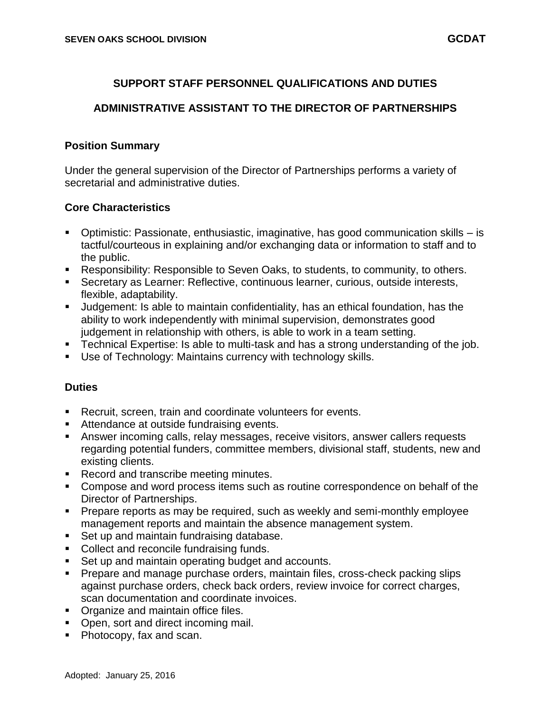## **SUPPORT STAFF PERSONNEL QUALIFICATIONS AND DUTIES**

### **ADMINISTRATIVE ASSISTANT TO THE DIRECTOR OF PARTNERSHIPS**

#### **Position Summary**

Under the general supervision of the Director of Partnerships performs a variety of secretarial and administrative duties.

#### **Core Characteristics**

- Optimistic: Passionate, enthusiastic, imaginative, has good communication skills is tactful/courteous in explaining and/or exchanging data or information to staff and to the public.
- Responsibility: Responsible to Seven Oaks, to students, to community, to others.
- Secretary as Learner: Reflective, continuous learner, curious, outside interests, flexible, adaptability.
- Judgement: Is able to maintain confidentiality, has an ethical foundation, has the ability to work independently with minimal supervision, demonstrates good judgement in relationship with others, is able to work in a team setting.
- **Technical Expertise: Is able to multi-task and has a strong understanding of the job.**
- Use of Technology: Maintains currency with technology skills.

#### **Duties**

- Recruit, screen, train and coordinate volunteers for events.
- **Attendance at outside fundraising events.**
- Answer incoming calls, relay messages, receive visitors, answer callers requests regarding potential funders, committee members, divisional staff, students, new and existing clients.
- Record and transcribe meeting minutes.
- Compose and word process items such as routine correspondence on behalf of the Director of Partnerships.
- Prepare reports as may be required, such as weekly and semi-monthly employee management reports and maintain the absence management system.
- Set up and maintain fundraising database.
- Collect and reconcile fundraising funds.
- Set up and maintain operating budget and accounts.
- Prepare and manage purchase orders, maintain files, cross-check packing slips against purchase orders, check back orders, review invoice for correct charges, scan documentation and coordinate invoices.
- Organize and maintain office files.
- Open, sort and direct incoming mail.
- Photocopy, fax and scan.